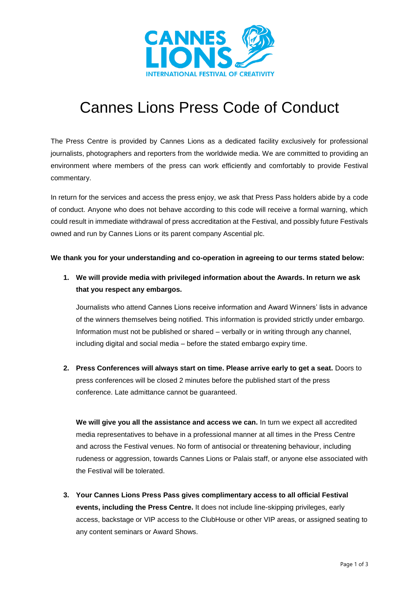

## Cannes Lions Press Code of Conduct

The Press Centre is provided by Cannes Lions as a dedicated facility exclusively for professional journalists, photographers and reporters from the worldwide media. We are committed to providing an environment where members of the press can work efficiently and comfortably to provide Festival commentary.

In return for the services and access the press enjoy, we ask that Press Pass holders abide by a code of conduct. Anyone who does not behave according to this code will receive a formal warning, which could result in immediate withdrawal of press accreditation at the Festival, and possibly future Festivals owned and run by Cannes Lions or its parent company Ascential plc.

**We thank you for your understanding and co-operation in agreeing to our terms stated below:**

**1. We will provide media with privileged information about the Awards. In return we ask that you respect any embargos.** 

Journalists who attend Cannes Lions receive information and Award Winners' lists in advance of the winners themselves being notified. This information is provided strictly under embargo. Information must not be published or shared – verbally or in writing through any channel, including digital and social media – before the stated embargo expiry time.

**2. Press Conferences will always start on time. Please arrive early to get a seat.** Doors to press conferences will be closed 2 minutes before the published start of the press conference. Late admittance cannot be guaranteed.

**We will give you all the assistance and access we can.** In turn we expect all accredited media representatives to behave in a professional manner at all times in the Press Centre and across the Festival venues. No form of antisocial or threatening behaviour, including rudeness or aggression, towards Cannes Lions or Palais staff, or anyone else associated with the Festival will be tolerated.

**3. Your Cannes Lions Press Pass gives complimentary access to all official Festival events, including the Press Centre.** It does not include line-skipping privileges, early access, backstage or VIP access to the ClubHouse or other VIP areas, or assigned seating to any content seminars or Award Shows.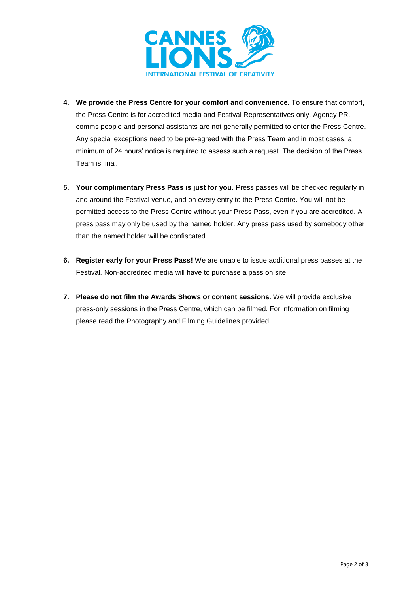

- **4. We provide the Press Centre for your comfort and convenience.** To ensure that comfort, the Press Centre is for accredited media and Festival Representatives only. Agency PR, comms people and personal assistants are not generally permitted to enter the Press Centre. Any special exceptions need to be pre-agreed with the Press Team and in most cases, a minimum of 24 hours' notice is required to assess such a request. The decision of the Press Team is final.
- **5. Your complimentary Press Pass is just for you.** Press passes will be checked regularly in and around the Festival venue, and on every entry to the Press Centre. You will not be permitted access to the Press Centre without your Press Pass, even if you are accredited. A press pass may only be used by the named holder. Any press pass used by somebody other than the named holder will be confiscated.
- **6. Register early for your Press Pass!** We are unable to issue additional press passes at the Festival. Non-accredited media will have to purchase a pass on site.
- **7. Please do not film the Awards Shows or content sessions.** We will provide exclusive press-only sessions in the Press Centre, which can be filmed. For information on filming please read the Photography and Filming Guidelines provided.